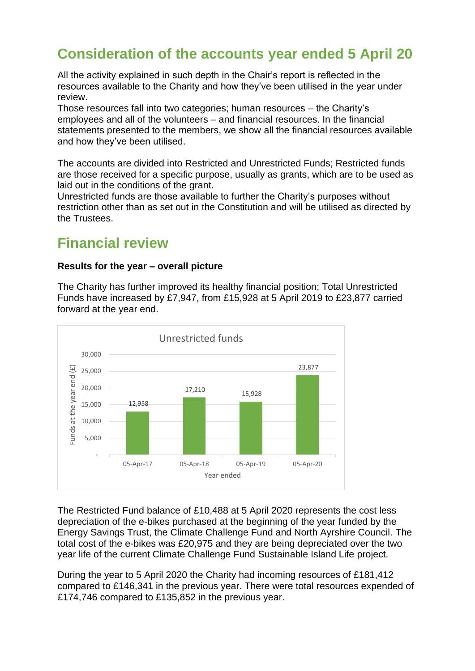# **Consideration of the accounts year ended 5 April 20**

All the activity explained in such depth in the Chair's report is reflected in the resources available to the Charity and how they've been utilised in the year under review.

Those resources fall into two categories; human resources – the Charity's employees and all of the volunteers – and financial resources. In the financial statements presented to the members, we show all the financial resources available and how they've been utilised.

The accounts are divided into Restricted and Unrestricted Funds; Restricted funds are those received for a specific purpose, usually as grants, which are to be used as laid out in the conditions of the grant.

Unrestricted funds are those available to further the Charity's purposes without restriction other than as set out in the Constitution and will be utilised as directed by the Trustees.

## **Financial review**

#### **Results for the year – overall picture**

The Charity has further improved its healthy financial position; Total Unrestricted Funds have increased by £7,947, from £15,928 at 5 April 2019 to £23,877 carried forward at the year end.



The Restricted Fund balance of £10,488 at 5 April 2020 represents the cost less depreciation of the e-bikes purchased at the beginning of the year funded by the Energy Savings Trust, the Climate Challenge Fund and North Ayrshire Council. The total cost of the e-bikes was £20,975 and they are being depreciated over the two year life of the current Climate Challenge Fund Sustainable Island Life project.

During the year to 5 April 2020 the Charity had incoming resources of £181,412 compared to £146,341 in the previous year. There were total resources expended of £174,746 compared to £135,852 in the previous year.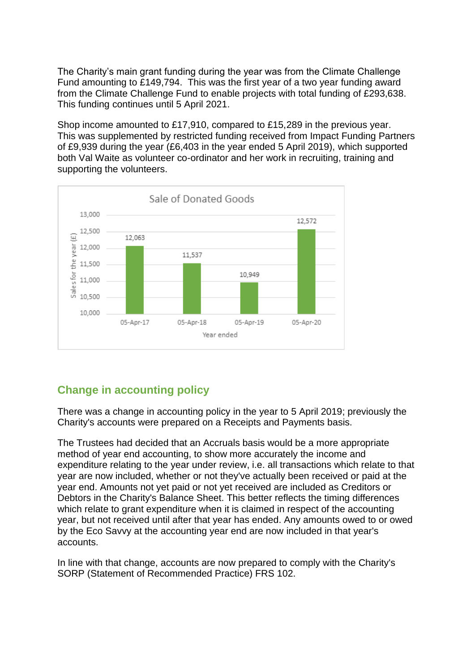The Charity's main grant funding during the year was from the Climate Challenge Fund amounting to £149,794. This was the first year of a two year funding award from the Climate Challenge Fund to enable projects with total funding of £293,638. This funding continues until 5 April 2021.

Shop income amounted to £17,910, compared to £15,289 in the previous year. This was supplemented by restricted funding received from Impact Funding Partners of £9,939 during the year (£6,403 in the year ended 5 April 2019), which supported both Val Waite as volunteer co-ordinator and her work in recruiting, training and supporting the volunteers.



## **Change in accounting policy**

There was a change in accounting policy in the year to 5 April 2019; previously the Charity's accounts were prepared on a Receipts and Payments basis.

The Trustees had decided that an Accruals basis would be a more appropriate method of year end accounting, to show more accurately the income and expenditure relating to the year under review, i.e. all transactions which relate to that year are now included, whether or not they've actually been received or paid at the year end. Amounts not yet paid or not yet received are included as Creditors or Debtors in the Charity's Balance Sheet. This better reflects the timing differences which relate to grant expenditure when it is claimed in respect of the accounting year, but not received until after that year has ended. Any amounts owed to or owed by the Eco Savvy at the accounting year end are now included in that year's accounts.

In line with that change, accounts are now prepared to comply with the Charity's SORP (Statement of Recommended Practice) FRS 102.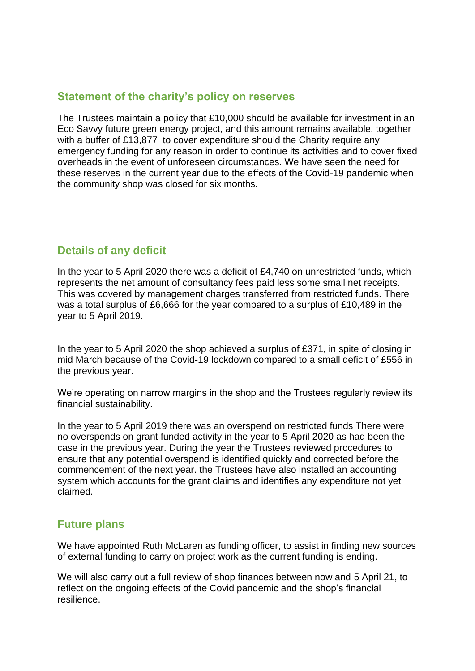#### **Statement of the charity's policy on reserves**

The Trustees maintain a policy that £10,000 should be available for investment in an Eco Savvy future green energy project, and this amount remains available, together with a buffer of £13,877 to cover expenditure should the Charity require any emergency funding for any reason in order to continue its activities and to cover fixed overheads in the event of unforeseen circumstances. We have seen the need for these reserves in the current year due to the effects of the Covid-19 pandemic when the community shop was closed for six months.

## **Details of any deficit**

In the year to 5 April 2020 there was a deficit of £4,740 on unrestricted funds, which represents the net amount of consultancy fees paid less some small net receipts. This was covered by management charges transferred from restricted funds. There was a total surplus of £6,666 for the year compared to a surplus of £10,489 in the year to 5 April 2019.

In the year to 5 April 2020 the shop achieved a surplus of £371, in spite of closing in mid March because of the Covid-19 lockdown compared to a small deficit of £556 in the previous year.

We're operating on narrow margins in the shop and the Trustees regularly review its financial sustainability.

In the year to 5 April 2019 there was an overspend on restricted funds There were no overspends on grant funded activity in the year to 5 April 2020 as had been the case in the previous year. During the year the Trustees reviewed procedures to ensure that any potential overspend is identified quickly and corrected before the commencement of the next year. the Trustees have also installed an accounting system which accounts for the grant claims and identifies any expenditure not yet claimed.

#### **Future plans**

We have appointed Ruth McLaren as funding officer, to assist in finding new sources of external funding to carry on project work as the current funding is ending.

We will also carry out a full review of shop finances between now and 5 April 21, to reflect on the ongoing effects of the Covid pandemic and the shop's financial resilience.